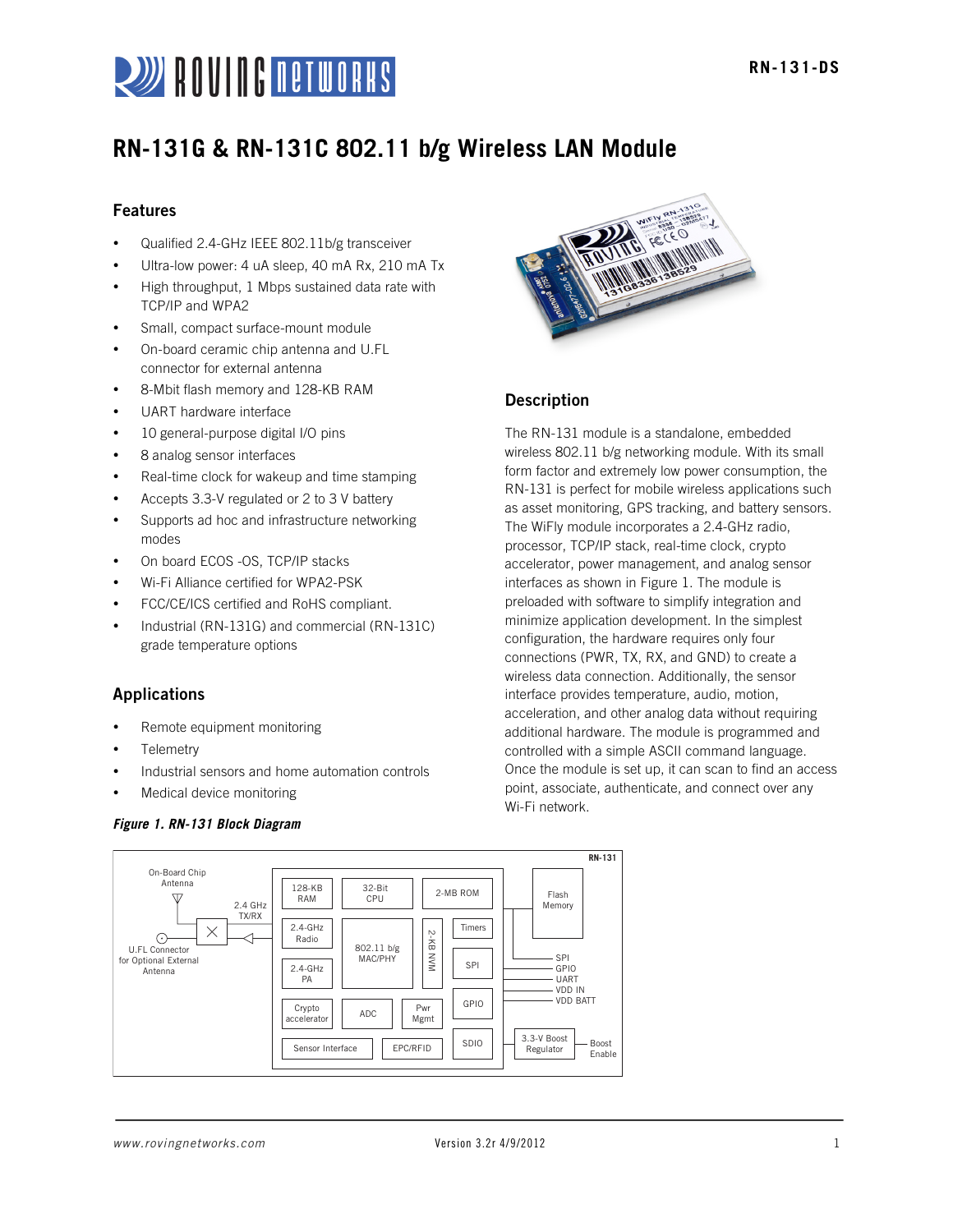

## **RN-131G & RN-131C 802.11 b/g Wireless LAN Module**

## Features

- Qualified 2.4-GHz IEEE 802.11b/g transceiver
- Ultra-low power: 4 uA sleep, 40 mA Rx, 210 mA Tx
- High throughput, 1 Mbps sustained data rate with TCP/IP and WPA2
- Small, compact surface-mount module
- On-board ceramic chip antenna and U.FL connector for external antenna
- 8-Mbit flash memory and 128-KB RAM
- UART hardware interface
- 10 general-purpose digital I/O pins
- 8 analog sensor interfaces
- Real-time clock for wakeup and time stamping
- Accepts 3.3-V regulated or 2 to 3 V battery
- Supports ad hoc and infrastructure networking modes
- On board ECOS -OS, TCP/IP stacks
- Wi-Fi Alliance certified for WPA2-PSK
- FCC/CE/ICS certified and RoHS compliant.
- Industrial (RN-131G) and commercial (RN-131C) grade temperature options

## Applications

- Remote equipment monitoring
- **Telemetry**
- Industrial sensors and home automation controls
- Medical device monitoring

#### *Figure 1. RN-131 Block Diagram*



## Description

The RN-131 module is a standalone, embedded wireless 802.11 b/g networking module. With its small form factor and extremely low power consumption, the RN-131 is perfect for mobile wireless applications such as asset monitoring, GPS tracking, and battery sensors. The WiFly module incorporates a 2.4-GHz radio, processor, TCP/IP stack, real-time clock, crypto accelerator, power management, and analog sensor interfaces as shown in Figure 1. The module is preloaded with software to simplify integration and minimize application development. In the simplest configuration, the hardware requires only four connections (PWR, TX, RX, and GND) to create a wireless data connection. Additionally, the sensor interface provides temperature, audio, motion, acceleration, and other analog data without requiring additional hardware. The module is programmed and controlled with a simple ASCII command language. Once the module is set up, it can scan to find an access point, associate, authenticate, and connect over any Wi-Fi network.

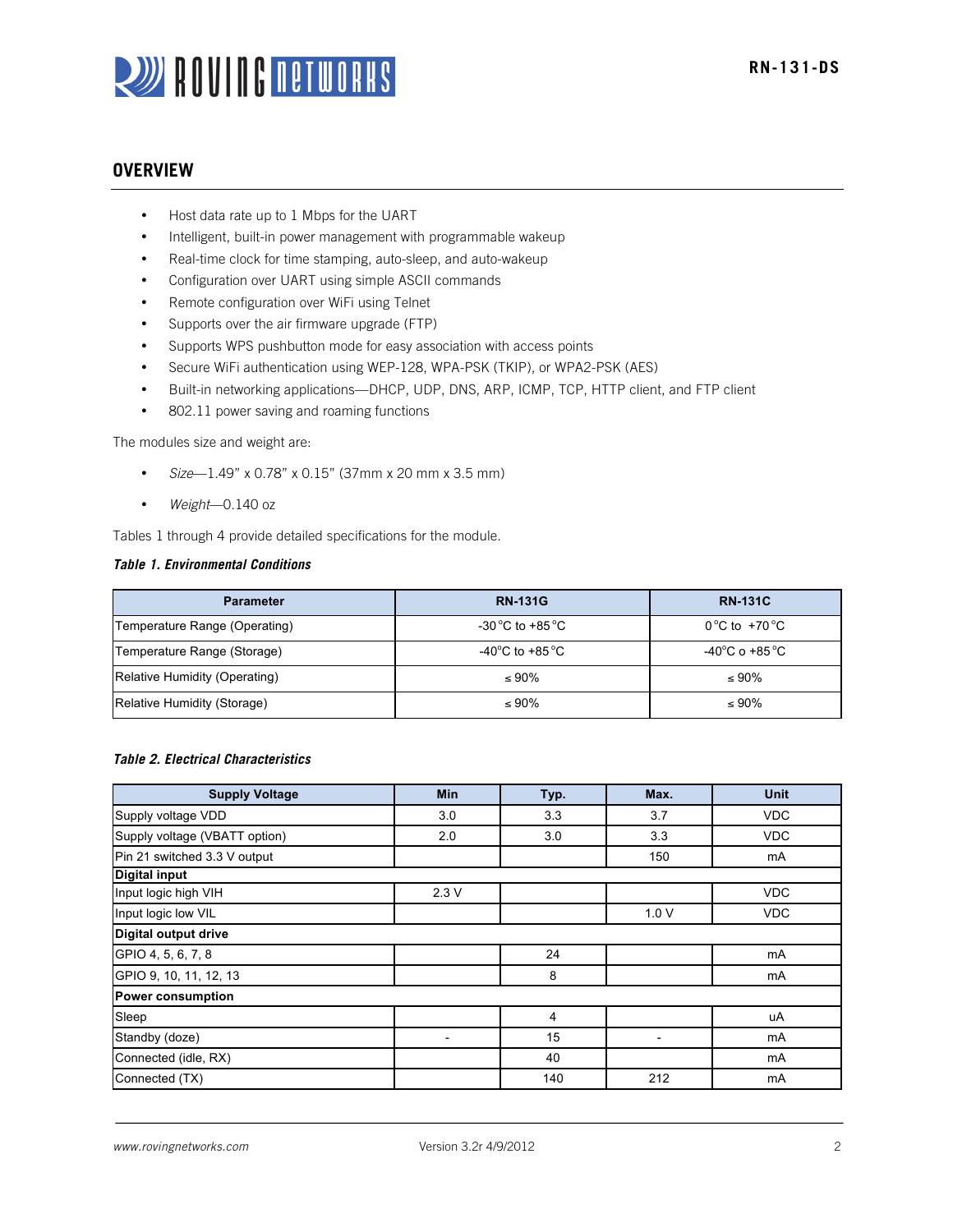# **WE BULLER BETWORKS**

## **OVERVIEW**

- Host data rate up to 1 Mbps for the UART
- Intelligent, built-in power management with programmable wakeup
- Real-time clock for time stamping, auto-sleep, and auto-wakeup
- Configuration over UART using simple ASCII commands
- Remote configuration over WiFi using Telnet
- Supports over the air firmware upgrade (FTP)
- Supports WPS pushbutton mode for easy association with access points
- Secure WiFi authentication using WEP-128, WPA-PSK (TKIP), or WPA2-PSK (AES)
- Built-in networking applications—DHCP, UDP, DNS, ARP, ICMP, TCP, HTTP client, and FTP client
- 802.11 power saving and roaming functions

The modules size and weight are:

- *Size*—1.49" x 0.78" x 0.15" (37mm x 20 mm x 3.5 mm)
- *Weight*—0.140 oz

Tables 1 through 4 provide detailed specifications for the module.

## *Table 1. Environmental Conditions*

| <b>Parameter</b>              | <b>RN-131G</b>                       | <b>RN-131C</b>                      |
|-------------------------------|--------------------------------------|-------------------------------------|
| Temperature Range (Operating) | -30 °C to +85 °C                     | $0^{\circ}$ C to +70 $^{\circ}$ C   |
| Temperature Range (Storage)   | -40 $^{\circ}$ C to +85 $^{\circ}$ C | -40 $^{\circ}$ C o +85 $^{\circ}$ C |
| Relative Humidity (Operating) | $\leq 90\%$                          | $\leq 90\%$                         |
| Relative Humidity (Storage)   | $\leq 90\%$                          | $\leq 90\%$                         |

#### *Table 2. Electrical Characteristics*

| <b>Supply Voltage</b>         | <b>Min</b>               | Typ. | Max. | <b>Unit</b> |
|-------------------------------|--------------------------|------|------|-------------|
| Supply voltage VDD            | 3.0                      | 3.3  | 3.7  | <b>VDC</b>  |
| Supply voltage (VBATT option) | 2.0                      | 3.0  | 3.3  | <b>VDC</b>  |
| Pin 21 switched 3.3 V output  |                          |      | 150  | mA          |
| <b>Digital input</b>          |                          |      |      |             |
| Input logic high VIH          | 2.3V                     |      |      | <b>VDC</b>  |
| Input logic low VIL           |                          |      | 1.0V | <b>VDC</b>  |
| Digital output drive          |                          |      |      |             |
| GPIO 4, 5, 6, 7, 8            |                          | 24   |      | mA          |
| GPIO 9, 10, 11, 12, 13        |                          | 8    |      | mA          |
| <b>Power consumption</b>      |                          |      |      |             |
| Sleep                         |                          | 4    |      | uA          |
| Standby (doze)                | $\overline{\phantom{a}}$ | 15   |      | mA          |
| Connected (idle, RX)          |                          | 40   |      | mA          |
| Connected (TX)                |                          | 140  | 212  | mA          |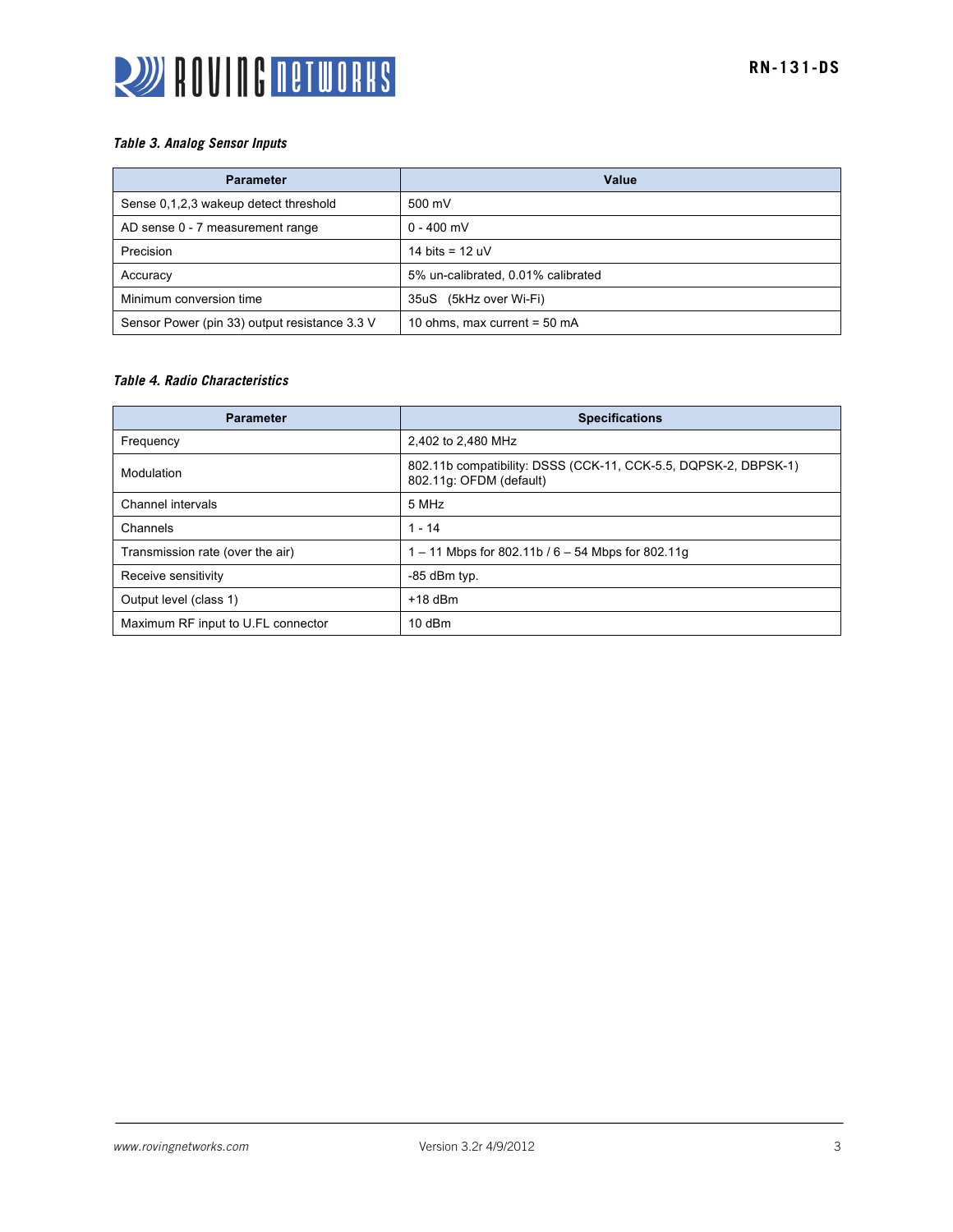

### *Table 3. Analog Sensor Inputs*

| <b>Parameter</b>                              | Value                              |
|-----------------------------------------------|------------------------------------|
| Sense 0,1,2,3 wakeup detect threshold         | 500 mV                             |
| AD sense 0 - 7 measurement range              | $0 - 400$ mV                       |
| Precision                                     | 14 bits = $12 uV$                  |
| Accuracy                                      | 5% un-calibrated, 0.01% calibrated |
| Minimum conversion time                       | 35uS (5kHz over Wi-Fi)             |
| Sensor Power (pin 33) output resistance 3.3 V | 10 ohms, max current = $50$ mA     |

## *Table 4. Radio Characteristics*

| <b>Parameter</b>                   | <b>Specifications</b>                                                                      |
|------------------------------------|--------------------------------------------------------------------------------------------|
| Frequency                          | 2,402 to 2,480 MHz                                                                         |
| Modulation                         | 802.11b compatibility: DSSS (CCK-11, CCK-5.5, DQPSK-2, DBPSK-1)<br>802.11g: OFDM (default) |
| Channel intervals                  | 5 MHz                                                                                      |
| Channels                           | $1 - 14$                                                                                   |
| Transmission rate (over the air)   | 1 – 11 Mbps for 802.11b / $6 - 54$ Mbps for 802.11g                                        |
| Receive sensitivity                | -85 dBm typ.                                                                               |
| Output level (class 1)             | $+18$ dBm                                                                                  |
| Maximum RF input to U.FL connector | $10$ dBm                                                                                   |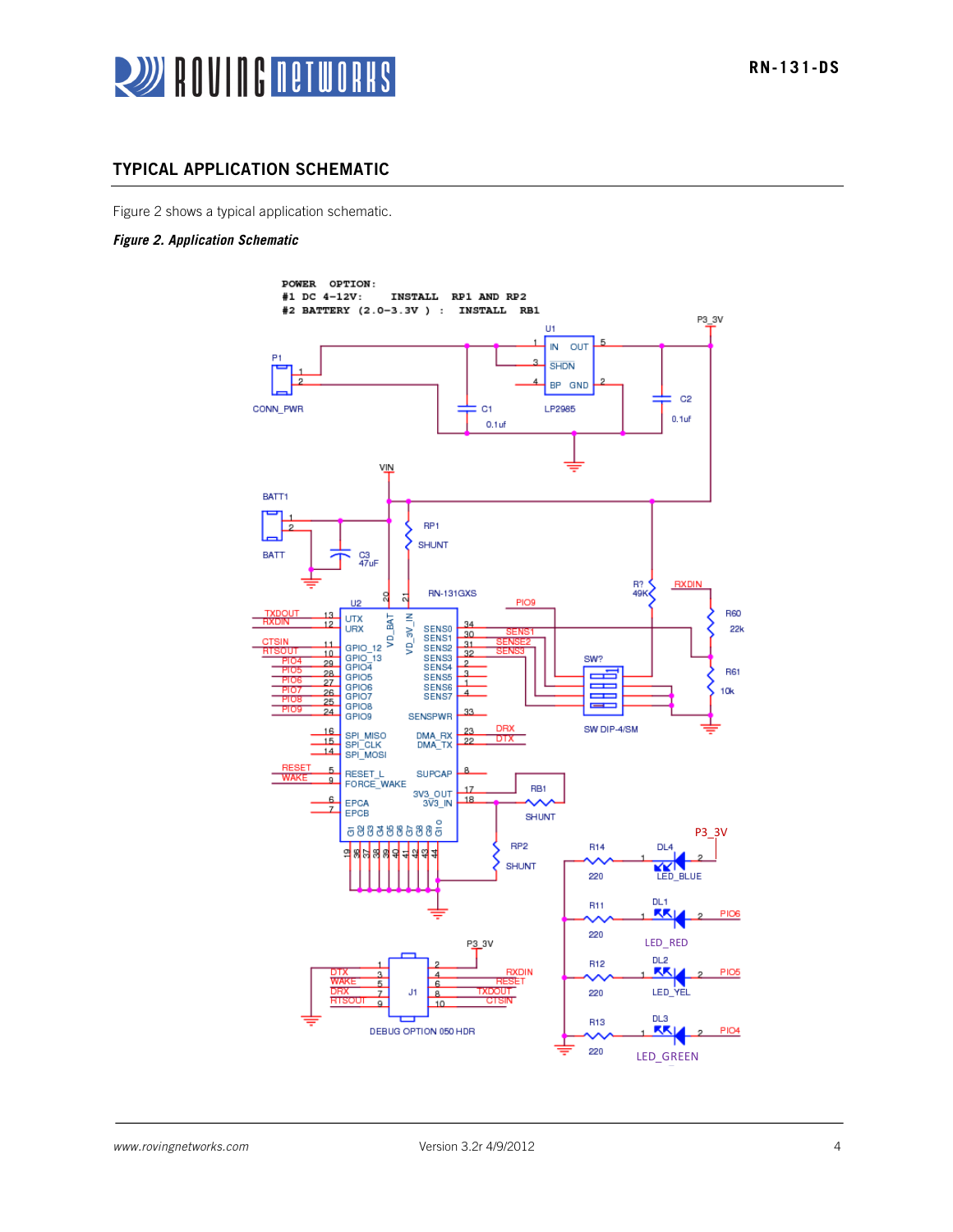

## TYPICAL APPLICATION SCHEMATIC

Figure 2 shows a typical application schematic.

#### *Figure 2. Application Schematic*

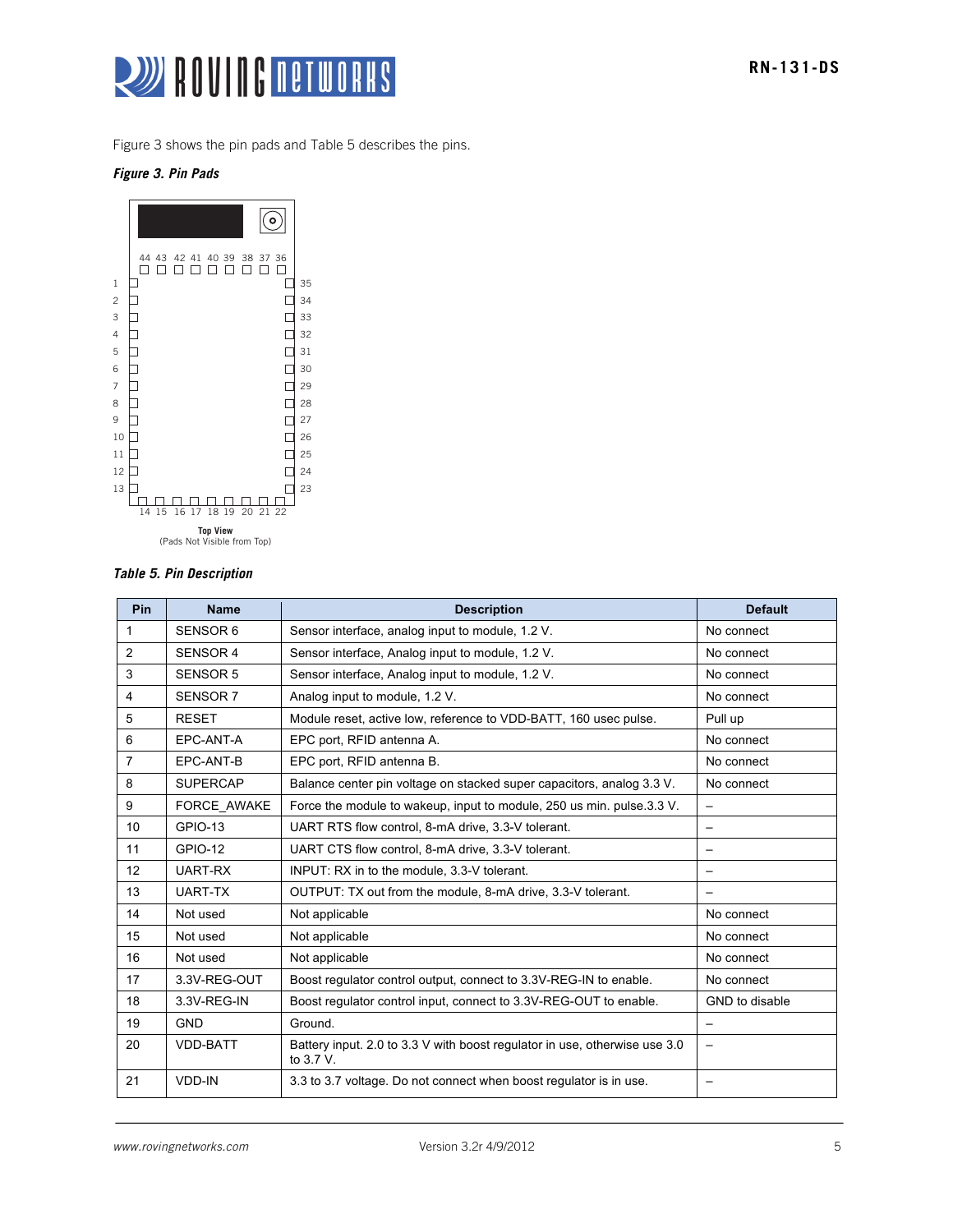

Figure 3 shows the pin pads and Table 5 describes the pins.

#### *Figure 3. Pin Pads*



## *Table 5. Pin Description*

| Pin | <b>Name</b>     | <b>Description</b>                                                                         | <b>Default</b>  |
|-----|-----------------|--------------------------------------------------------------------------------------------|-----------------|
| 1   | SENSOR 6        | Sensor interface, analog input to module, 1.2 V.                                           | No connect      |
| 2   | <b>SENSOR 4</b> | Sensor interface, Analog input to module, 1.2 V.                                           | No connect      |
| 3   | <b>SENSOR 5</b> | Sensor interface, Analog input to module, 1.2 V.                                           | No connect      |
| 4   | <b>SENSOR 7</b> | Analog input to module, 1.2 V.                                                             | No connect      |
| 5   | <b>RESET</b>    | Module reset, active low, reference to VDD-BATT, 160 usec pulse.                           | Pull up         |
| 6   | EPC-ANT-A       | EPC port, RFID antenna A.                                                                  | No connect      |
| 7   | EPC-ANT-B       | EPC port, RFID antenna B.                                                                  | No connect      |
| 8   | <b>SUPERCAP</b> | Balance center pin voltage on stacked super capacitors, analog 3.3 V.                      | No connect      |
| 9   | FORCE AWAKE     | Force the module to wakeup, input to module, 250 us min. pulse 3.3 V.                      |                 |
| 10  | <b>GPIO-13</b>  | UART RTS flow control, 8-mA drive, 3.3-V tolerant.                                         |                 |
| 11  | <b>GPIO-12</b>  | UART CTS flow control, 8-mA drive, 3.3-V tolerant.                                         |                 |
| 12  | UART-RX         | INPUT: RX in to the module, 3.3-V tolerant.                                                |                 |
| 13  | UART-TX         | OUTPUT: TX out from the module, 8-mA drive, 3.3-V tolerant.                                |                 |
| 14  | Not used        | Not applicable                                                                             | No connect      |
| 15  | Not used        | Not applicable                                                                             | No connect      |
| 16  | Not used        | Not applicable                                                                             | No connect      |
| 17  | 3.3V-REG-OUT    | Boost regulator control output, connect to 3.3V-REG-IN to enable.                          | No connect      |
| 18  | 3.3V-REG-IN     | Boost regulator control input, connect to 3.3V-REG-OUT to enable.                          | GND to disable  |
| 19  | <b>GND</b>      | Ground.                                                                                    | $\qquad \qquad$ |
| 20  | <b>VDD-BATT</b> | Battery input. 2.0 to 3.3 V with boost regulator in use, otherwise use 3.0<br>to $3.7 V$ . |                 |
| 21  | <b>VDD-IN</b>   | 3.3 to 3.7 voltage. Do not connect when boost regulator is in use.                         |                 |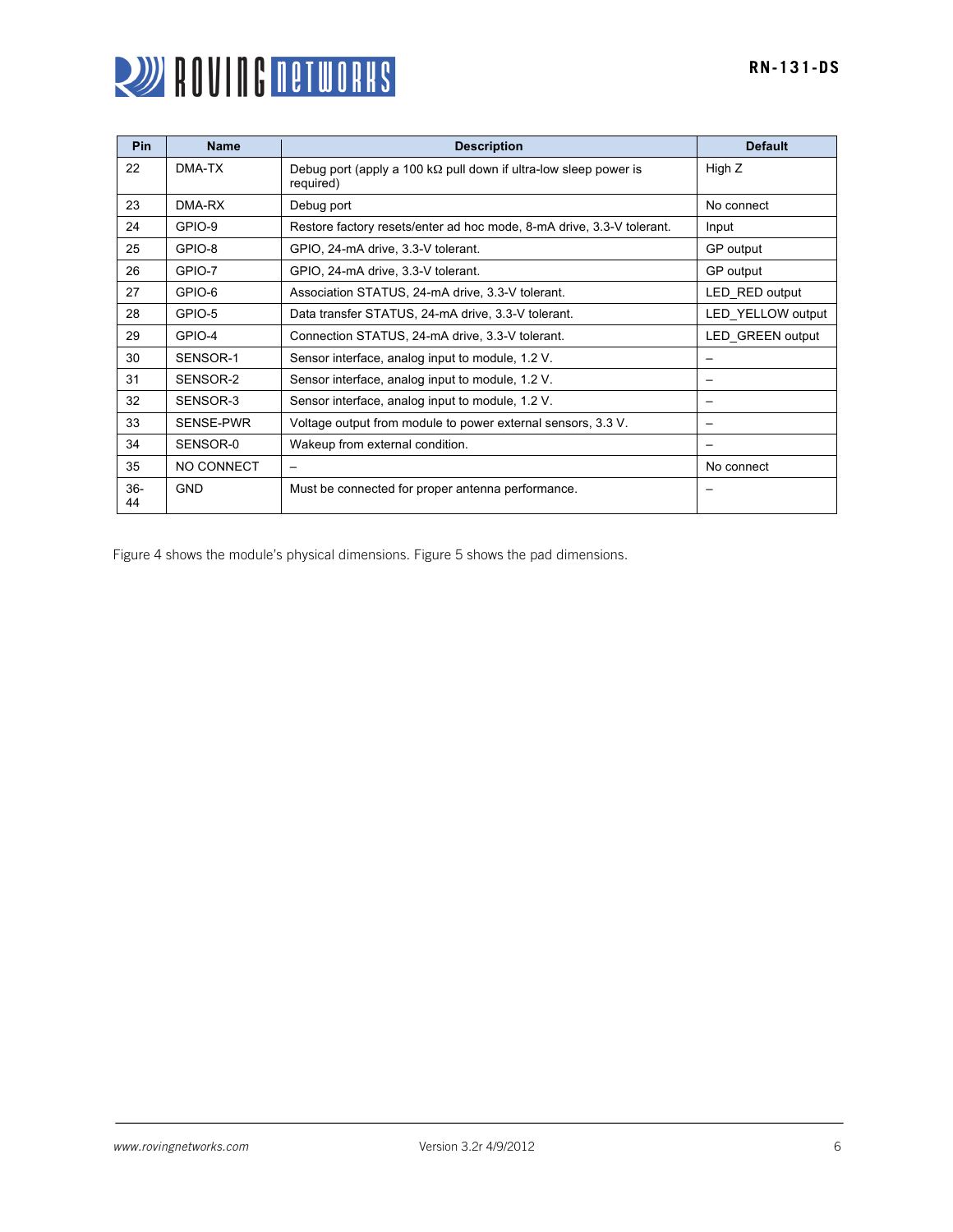

| Pin         | <b>Name</b>      | <b>Description</b>                                                                    | <b>Default</b>           |
|-------------|------------------|---------------------------------------------------------------------------------------|--------------------------|
| 22          | DMA-TX           | Debug port (apply a 100 k $\Omega$ pull down if ultra-low sleep power is<br>required) | High Z                   |
| 23          | DMA-RX           | Debug port                                                                            | No connect               |
| 24          | GPIO-9           | Restore factory resets/enter ad hoc mode, 8-mA drive, 3.3-V tolerant.                 | Input                    |
| 25          | GPIO-8           | GPIO, 24-mA drive, 3.3-V tolerant.                                                    | GP output                |
| 26          | GPIO-7           | GPIO, 24-mA drive, 3.3-V tolerant.                                                    | GP output                |
| 27          | GPIO-6           | Association STATUS, 24-mA drive, 3.3-V tolerant.                                      | LED RED output           |
| 28          | GPIO-5           | Data transfer STATUS, 24-mA drive, 3.3-V tolerant.                                    | LED YELLOW output        |
| 29          | GPIO-4           | Connection STATUS, 24-mA drive, 3.3-V tolerant.                                       | LED GREEN output         |
| 30          | SENSOR-1         | Sensor interface, analog input to module, 1.2 V.                                      | $\overline{\phantom{0}}$ |
| 31          | SENSOR-2         | Sensor interface, analog input to module, 1.2 V.                                      | —                        |
| 32          | SENSOR-3         | Sensor interface, analog input to module, 1.2 V.                                      |                          |
| 33          | <b>SENSE-PWR</b> | Voltage output from module to power external sensors, 3.3 V.                          |                          |
| 34          | SENSOR-0         | Wakeup from external condition.                                                       | $\overline{\phantom{0}}$ |
| 35          | NO CONNECT       | $\qquad \qquad$                                                                       | No connect               |
| $36-$<br>44 | <b>GND</b>       | Must be connected for proper antenna performance.                                     |                          |

Figure 4 shows the module's physical dimensions. Figure 5 shows the pad dimensions.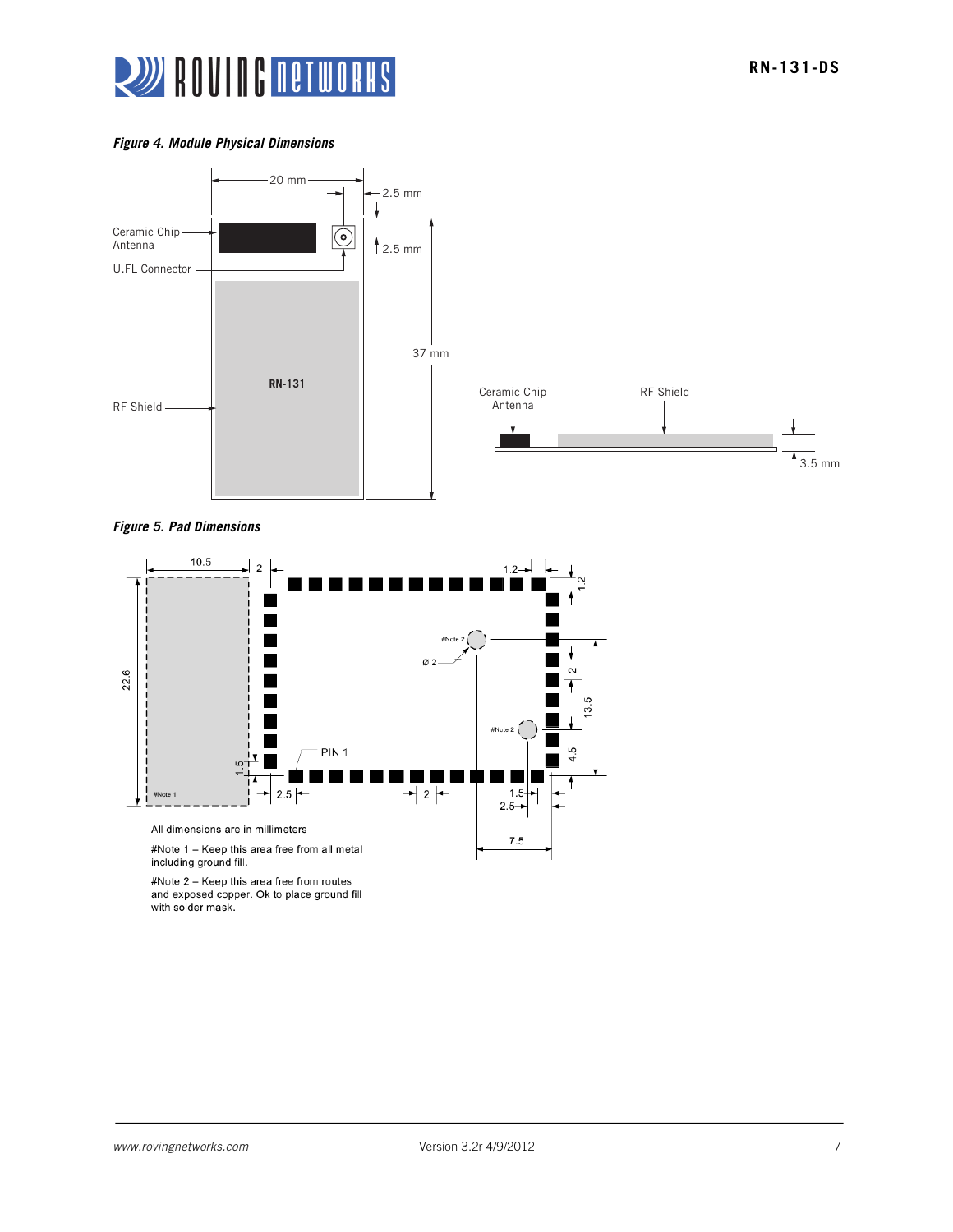

#### *Figure 4. Module Physical Dimensions*







#Note 2 - Keep this area free from routes and exposed copper. Ok to place ground fill with solder mask.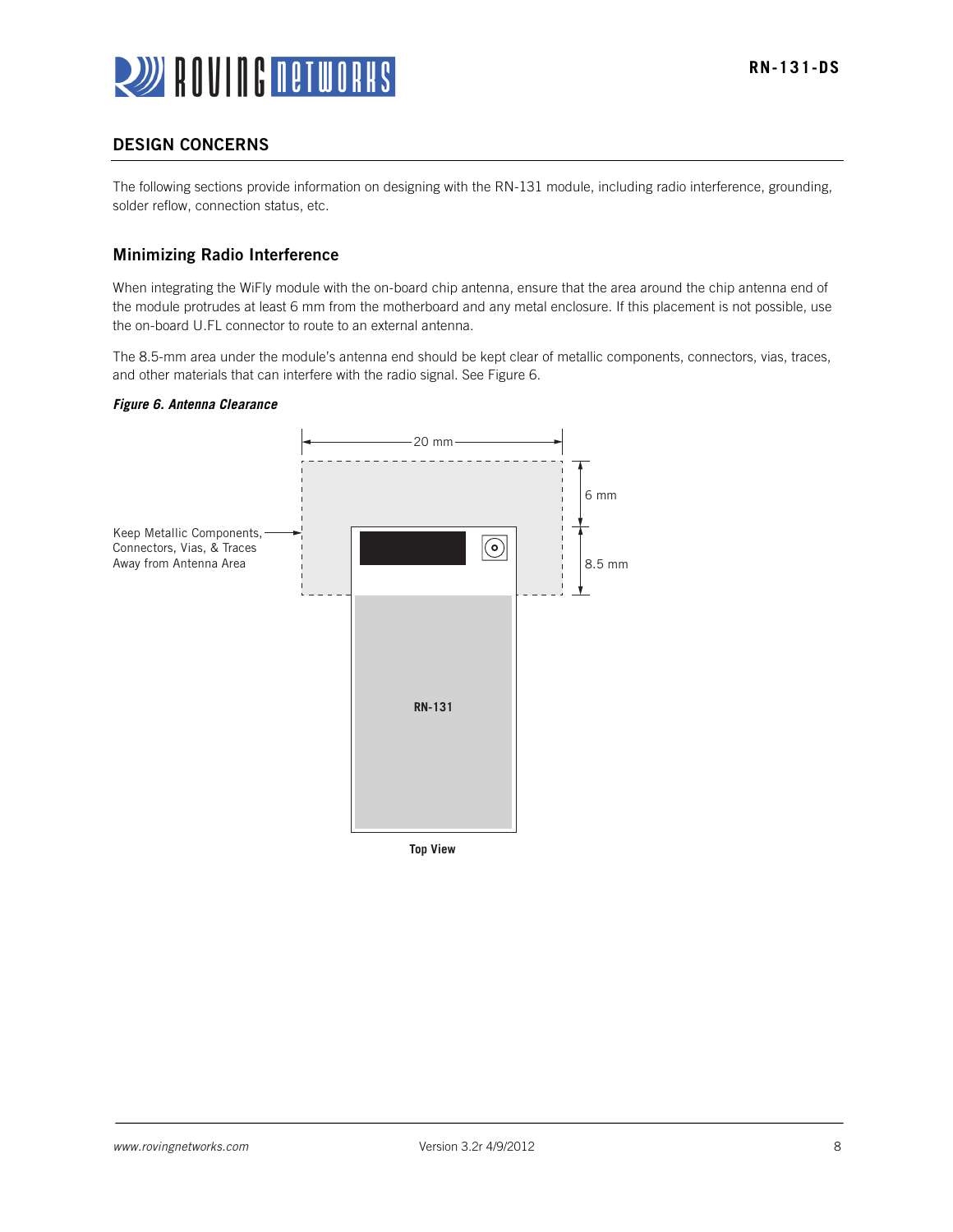

## DESIGN CONCERNS

The following sections provide information on designing with the RN-131 module, including radio interference, grounding, solder reflow, connection status, etc.

## Minimizing Radio Interference

When integrating the WiFly module with the on-board chip antenna, ensure that the area around the chip antenna end of the module protrudes at least 6 mm from the motherboard and any metal enclosure. If this placement is not possible, use the on-board U.FL connector to route to an external antenna.

The 8.5-mm area under the module's antenna end should be kept clear of metallic components, connectors, vias, traces, and other materials that can interfere with the radio signal. See Figure 6.

#### *Figure 6. Antenna Clearance*

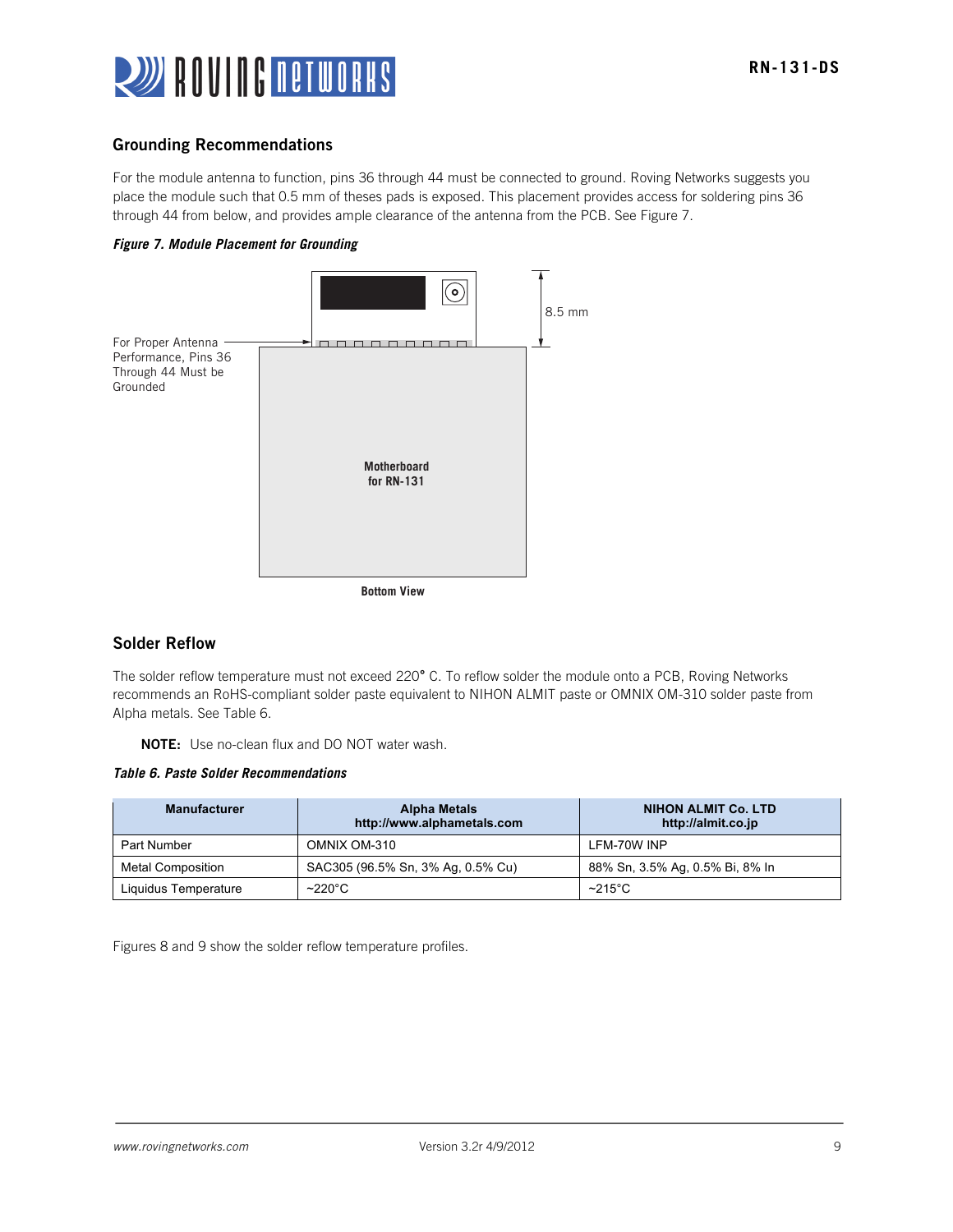

## Grounding Recommendations

For the module antenna to function, pins 36 through 44 must be connected to ground. Roving Networks suggests you place the module such that 0.5 mm of theses pads is exposed. This placement provides access for soldering pins 36 through 44 from below, and provides ample clearance of the antenna from the PCB. See Figure 7.





## Solder Reflow

The solder reflow temperature must not exceed 220**°** C. To reflow solder the module onto a PCB, Roving Networks recommends an RoHS-compliant solder paste equivalent to NIHON ALMIT paste or OMNIX OM-310 solder paste from Alpha metals. See Table 6.

NOTE: Use no-clean flux and DO NOT water wash.

*Table 6. Paste Solder Recommendations*

| <b>Manufacturer</b>      | <b>Alpha Metals</b><br>http://www.alphametals.com | <b>NIHON ALMIT Co. LTD</b><br>http://almit.co.jp |
|--------------------------|---------------------------------------------------|--------------------------------------------------|
| Part Number              | OMNIX OM-310                                      | LFM-70W INP                                      |
| <b>Metal Composition</b> | SAC305 (96.5% Sn, 3% Ag, 0.5% Cu)                 | 88% Sn, 3.5% Ag, 0.5% Bi, 8% In                  |
| Liquidus Temperature     | $~220^{\circ}$ C                                  | $~215^{\circ}$ C                                 |

Figures 8 and 9 show the solder reflow temperature profiles.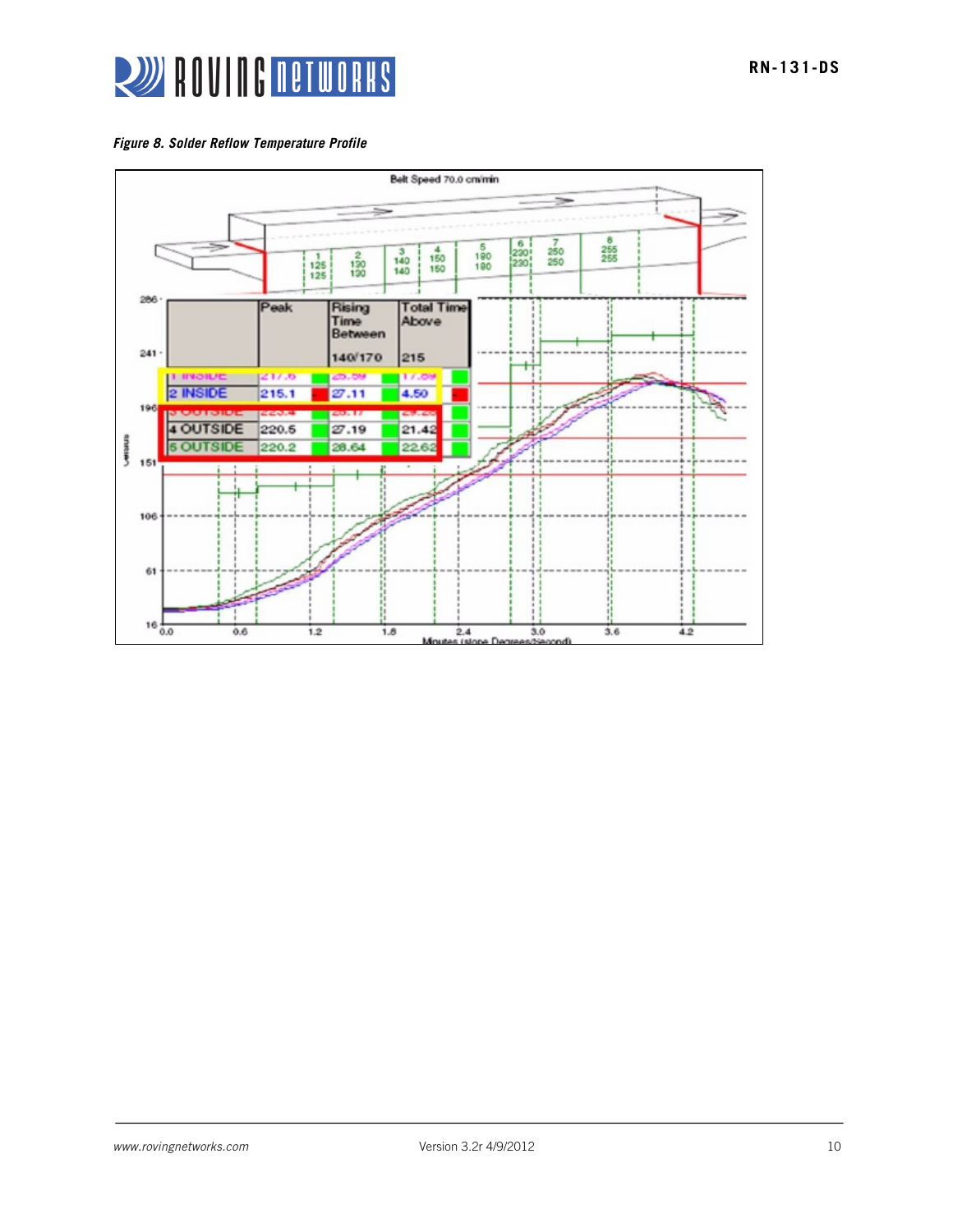

*Figure 8. Solder Reflow Temperature Profile*

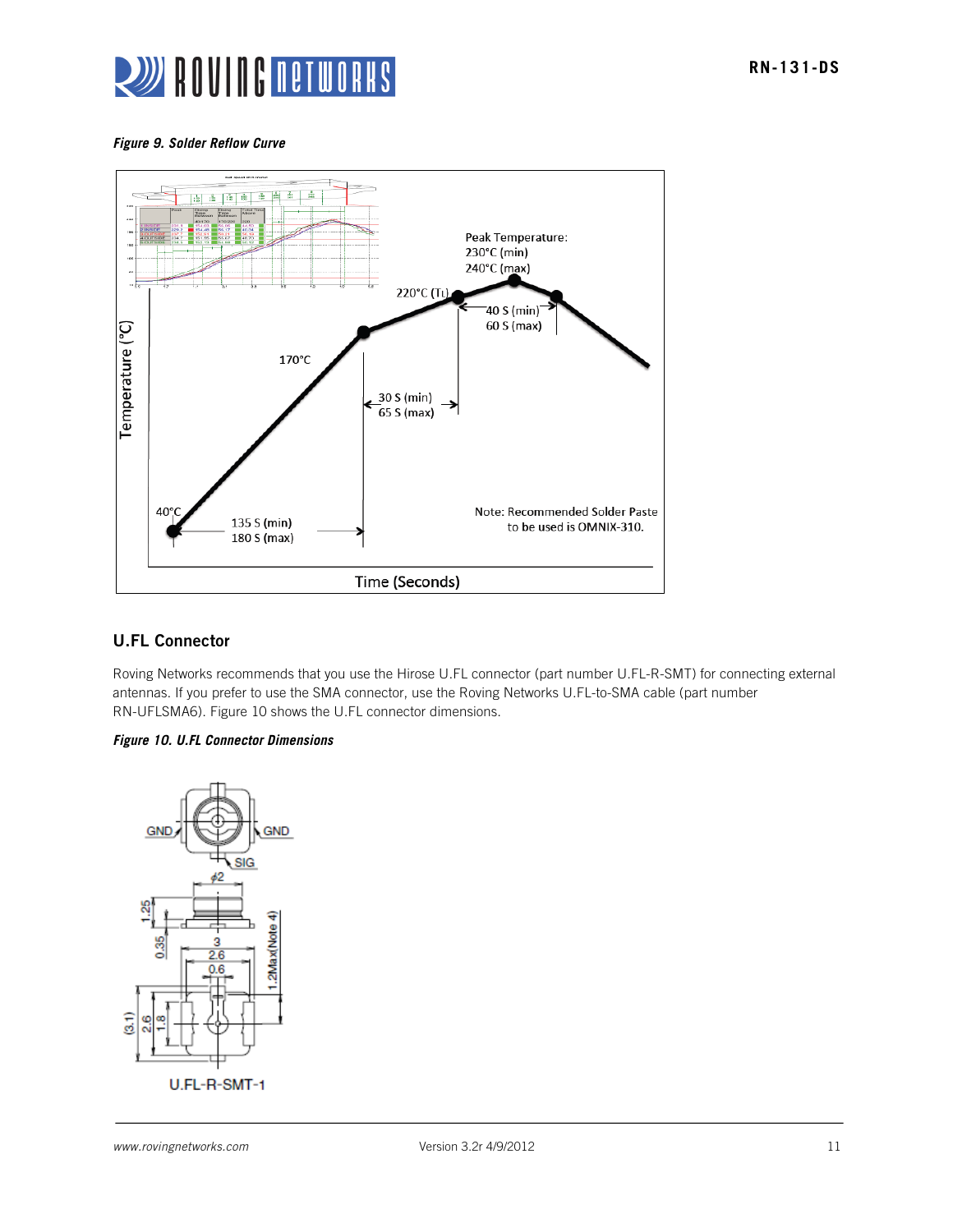

#### *Figure 9. Solder Reflow Curve*



## U.FL Connector

Roving Networks recommends that you use the Hirose U.FL connector (part number U.FL-R-SMT) for connecting external antennas. If you prefer to use the SMA connector, use the Roving Networks U.FL-to-SMA cable (part number RN-UFLSMA6). Figure 10 shows the U.FL connector dimensions.

#### *Figure 10. U.FL Connector Dimensions*

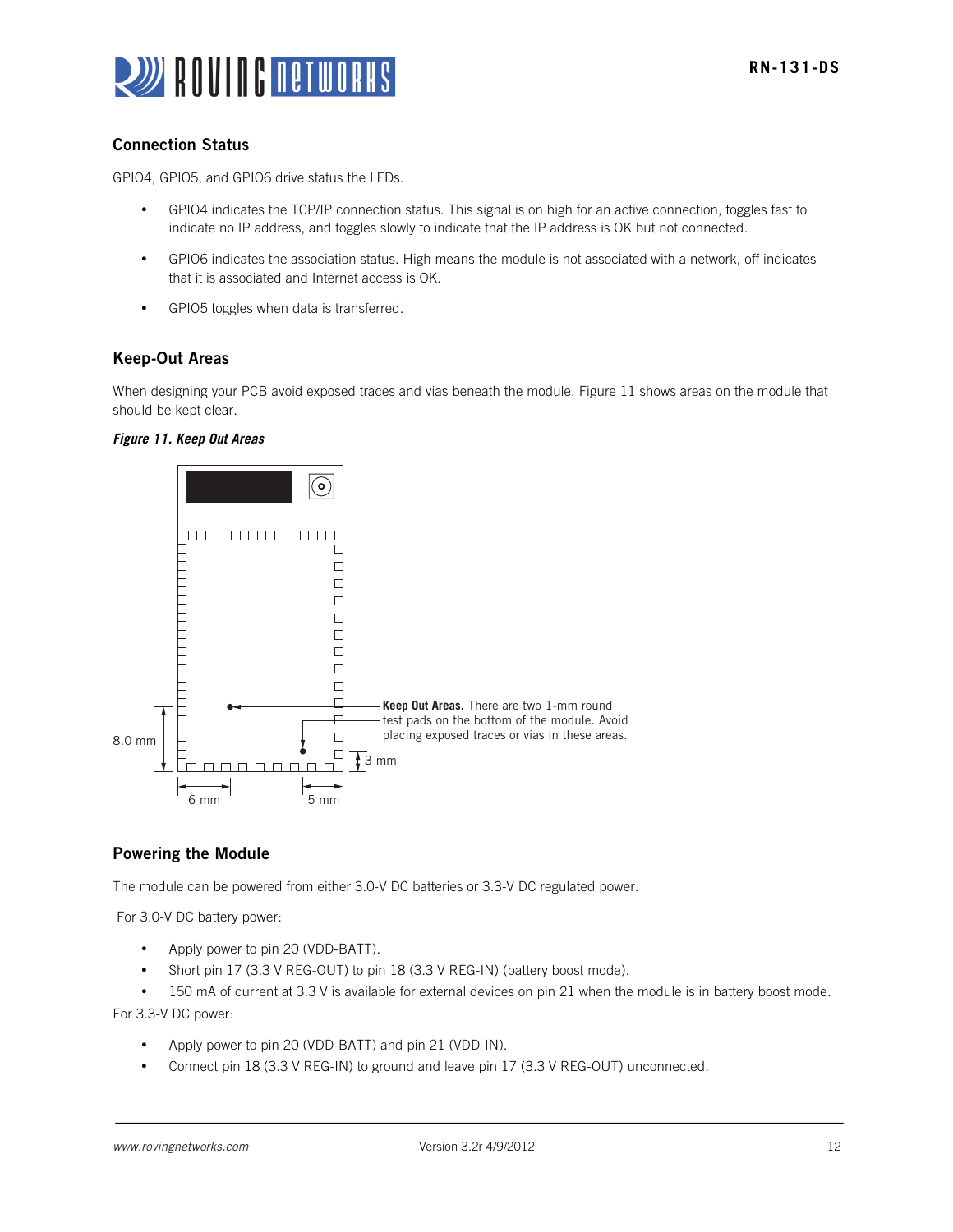

## Connection Status

GPIO4, GPIO5, and GPIO6 drive status the LEDs.

- GPIO4 indicates the TCP/IP connection status. This signal is on high for an active connection, toggles fast to indicate no IP address, and toggles slowly to indicate that the IP address is OK but not connected.
- GPIO6 indicates the association status. High means the module is not associated with a network, off indicates that it is associated and Internet access is OK.
- GPIO5 toggles when data is transferred.

## Keep-Out Areas

When designing your PCB avoid exposed traces and vias beneath the module. Figure 11 shows areas on the module that should be kept clear.





## Powering the Module

The module can be powered from either 3.0-V DC batteries or 3.3-V DC regulated power.

For 3.0-V DC battery power:

- Apply power to pin 20 (VDD-BATT).
- Short pin 17 (3.3 V REG-OUT) to pin 18 (3.3 V REG-IN) (battery boost mode).

• 150 mA of current at 3.3 V is available for external devices on pin 21 when the module is in battery boost mode. For 3.3-V DC power:

- Apply power to pin 20 (VDD-BATT) and pin 21 (VDD-IN).
- Connect pin 18 (3.3 V REG-IN) to ground and leave pin 17 (3.3 V REG-OUT) unconnected.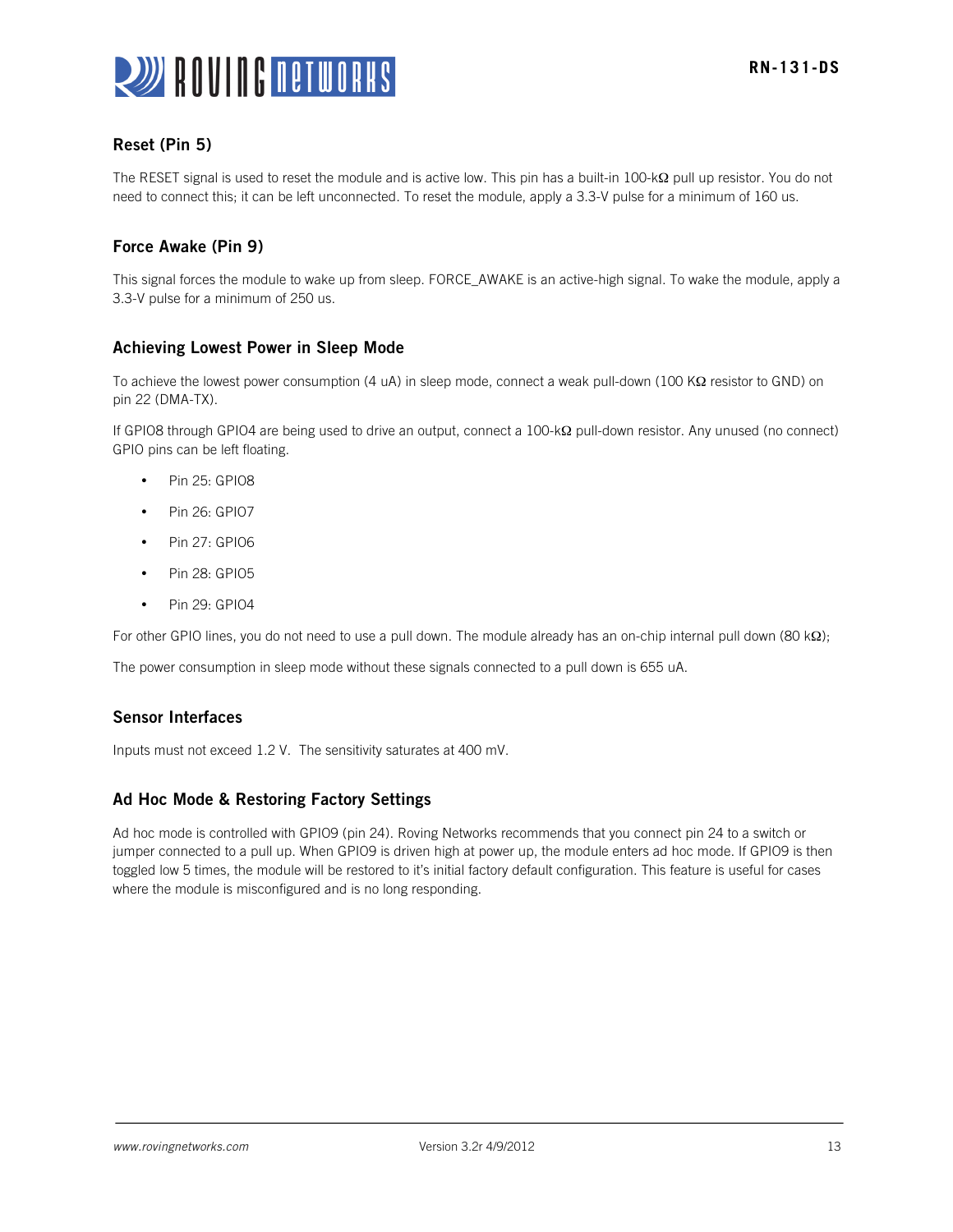

## Reset (Pin 5)

The RESET signal is used to reset the module and is active low. This pin has a built-in 100-kΩ pull up resistor. You do not need to connect this; it can be left unconnected. To reset the module, apply a 3.3-V pulse for a minimum of 160 us.

## Force Awake (Pin 9)

This signal forces the module to wake up from sleep. FORCE\_AWAKE is an active-high signal. To wake the module, apply a 3.3-V pulse for a minimum of 250 us.

## Achieving Lowest Power in Sleep Mode

To achieve the lowest power consumption (4 uA) in sleep mode, connect a weak pull-down (100 KΩ resistor to GND) on pin 22 (DMA-TX).

If GPIO8 through GPIO4 are being used to drive an output, connect a 100-kΩ pull-down resistor. Any unused (no connect) GPIO pins can be left floating.

- Pin 25: GPIO8
- Pin 26: GPI07
- Pin 27: GPIO6
- Pin 28: GPI05
- Pin 29: GPI04

For other GPIO lines, you do not need to use a pull down. The module already has an on-chip internal pull down (80 kΩ);

The power consumption in sleep mode without these signals connected to a pull down is 655 uA.

## Sensor Interfaces

Inputs must not exceed 1.2 V. The sensitivity saturates at 400 mV.

### Ad Hoc Mode & Restoring Factory Settings

Ad hoc mode is controlled with GPIO9 (pin 24). Roving Networks recommends that you connect pin 24 to a switch or jumper connected to a pull up. When GPIO9 is driven high at power up, the module enters ad hoc mode. If GPIO9 is then toggled low 5 times, the module will be restored to it's initial factory default configuration. This feature is useful for cases where the module is misconfigured and is no long responding.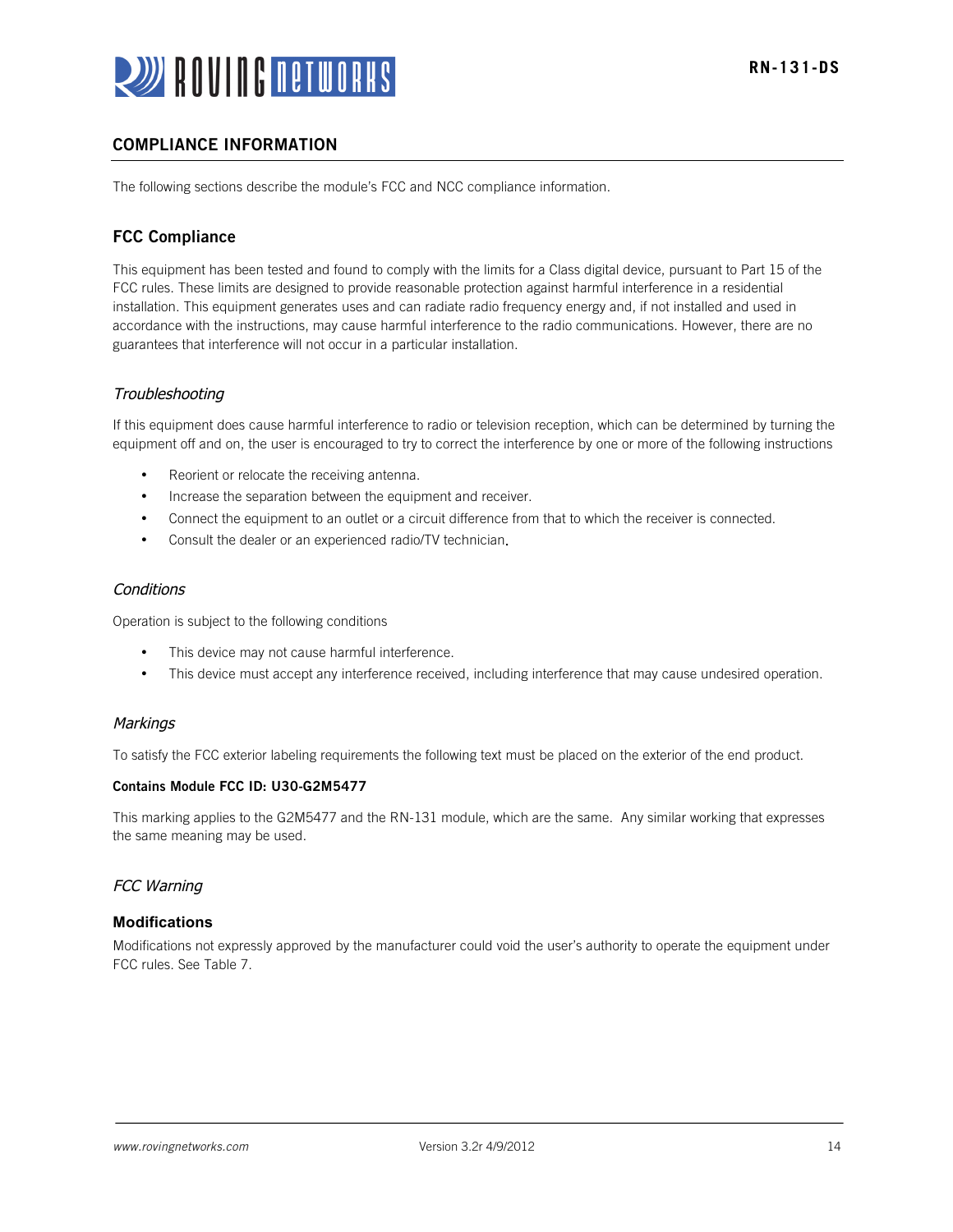

## COMPLIANCE INFORMATION

The following sections describe the module's FCC and NCC compliance information.

## FCC Compliance

This equipment has been tested and found to comply with the limits for a Class digital device, pursuant to Part 15 of the FCC rules. These limits are designed to provide reasonable protection against harmful interference in a residential installation. This equipment generates uses and can radiate radio frequency energy and, if not installed and used in accordance with the instructions, may cause harmful interference to the radio communications. However, there are no guarantees that interference will not occur in a particular installation.

### Troubleshooting

If this equipment does cause harmful interference to radio or television reception, which can be determined by turning the equipment off and on, the user is encouraged to try to correct the interference by one or more of the following instructions

- Reorient or relocate the receiving antenna.
- Increase the separation between the equipment and receiver.
- Connect the equipment to an outlet or a circuit difference from that to which the receiver is connected.
- Consult the dealer or an experienced radio/TV technician.

#### **Conditions**

Operation is subject to the following conditions

- This device may not cause harmful interference.
- This device must accept any interference received, including interference that may cause undesired operation.

#### **Markings**

To satisfy the FCC exterior labeling requirements the following text must be placed on the exterior of the end product.

#### Contains Module FCC ID: U30-G2M5477

This marking applies to the G2M5477 and the RN-131 module, which are the same. Any similar working that expresses the same meaning may be used.

#### FCC Warning

#### **Modifications**

Modifications not expressly approved by the manufacturer could void the user's authority to operate the equipment under FCC rules. See Table 7.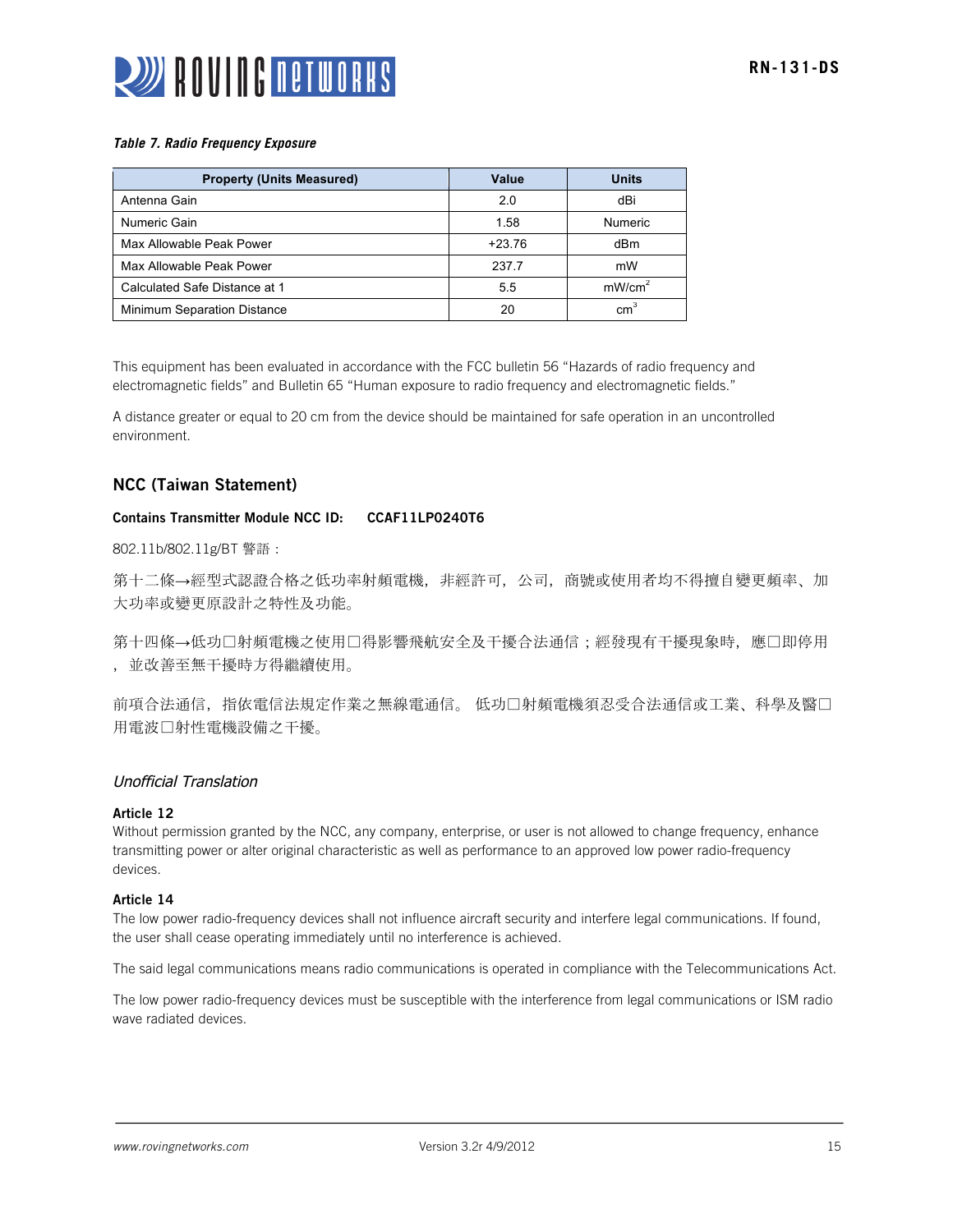

#### *Table 7. Radio Frequency Exposure*

| <b>Property (Units Measured)</b> | Value    | <b>Units</b>       |
|----------------------------------|----------|--------------------|
| Antenna Gain                     | 2.0      | dBi                |
| Numeric Gain                     | 1.58     | <b>Numeric</b>     |
| Max Allowable Peak Power         | $+23.76$ | dBm                |
| Max Allowable Peak Power         | 237.7    | mW                 |
| Calculated Safe Distance at 1    | 5.5      | mW/cm <sup>2</sup> |
| Minimum Separation Distance      | 20       | cm <sup>3</sup>    |

This equipment has been evaluated in accordance with the FCC bulletin 56 "Hazards of radio frequency and electromagnetic fields" and Bulletin 65 "Human exposure to radio frequency and electromagnetic fields."

A distance greater or equal to 20 cm from the device should be maintained for safe operation in an uncontrolled environment.

### NCC (Taiwan Statement)

#### Contains Transmitter Module NCC ID: CCAF11LP0240T6

802.11b/802.11g/BT 警語:

第十二條→經型式認證合格之低功率射頻電機,非經許可,公司,商號或使用者均不得擅自變更頻率、加 大功率或變更原設計之特性及功能。

第十四條→低功□射頻電機之使用□得影響飛航安全及干擾合法通信;經發現有干擾現象時,應□即停用 ,並改善至無干擾時方得繼續使用。

前項合法通信,指依電信法規定作業之無線電通信。 低功口射頻電機須忍受合法通信或工業、科學及醫口 用電波射性電機設備之干擾。

### Unofficial Translation

#### Article 12

Without permission granted by the NCC, any company, enterprise, or user is not allowed to change frequency, enhance transmitting power or alter original characteristic as well as performance to an approved low power radio-frequency devices.

#### Article 14

The low power radio-frequency devices shall not influence aircraft security and interfere legal communications. If found, the user shall cease operating immediately until no interference is achieved.

The said legal communications means radio communications is operated in compliance with the Telecommunications Act.

The low power radio-frequency devices must be susceptible with the interference from legal communications or ISM radio wave radiated devices.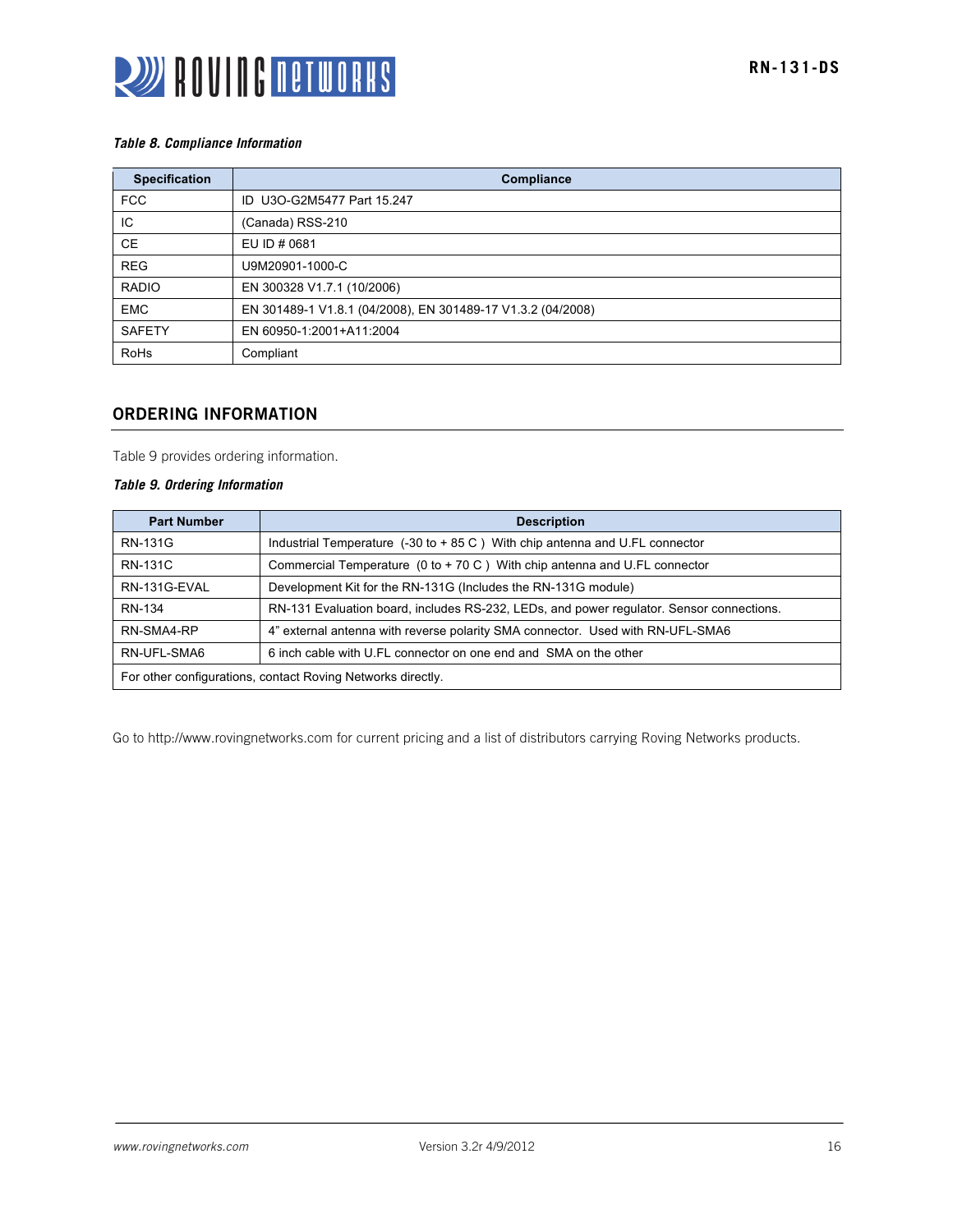

#### *Table 8. Compliance Information*

| <b>Specification</b> | Compliance                                                  |
|----------------------|-------------------------------------------------------------|
| <b>FCC</b>           | ID U3O-G2M5477 Part 15.247                                  |
| IC                   | (Canada) RSS-210                                            |
| <b>CE</b>            | EU ID # 0681                                                |
| <b>REG</b>           | U9M20901-1000-C                                             |
| <b>RADIO</b>         | EN 300328 V1.7.1 (10/2006)                                  |
| <b>EMC</b>           | EN 301489-1 V1.8.1 (04/2008), EN 301489-17 V1.3.2 (04/2008) |
| <b>SAFETY</b>        | EN 60950-1:2001+A11:2004                                    |
| <b>RoHs</b>          | Compliant                                                   |

## ORDERING INFORMATION

Table 9 provides ordering information.

#### *Table 9. Ordering Information*

| <b>Part Number</b>                                          | <b>Description</b>                                                                            |
|-------------------------------------------------------------|-----------------------------------------------------------------------------------------------|
| RN-131G                                                     | Industrial Temperature $(-30 \text{ to } +85 \text{ C})$ With chip antenna and U.FL connector |
| <b>RN-131C</b>                                              | Commercial Temperature ( $0$ to + 70 C) With chip antenna and U.FL connector                  |
| RN-131G-EVAL                                                | Development Kit for the RN-131G (Includes the RN-131G module)                                 |
| <b>RN-134</b>                                               | RN-131 Evaluation board, includes RS-232, LEDs, and power regulator. Sensor connections.      |
| RN-SMA4-RP                                                  | 4" external antenna with reverse polarity SMA connector. Used with RN-UFL-SMA6                |
| RN-UFL-SMA6                                                 | 6 inch cable with U.FL connector on one end and SMA on the other                              |
| For other configurations, contact Roving Networks directly. |                                                                                               |

Go to http://www.rovingnetworks.com for current pricing and a list of distributors carrying Roving Networks products.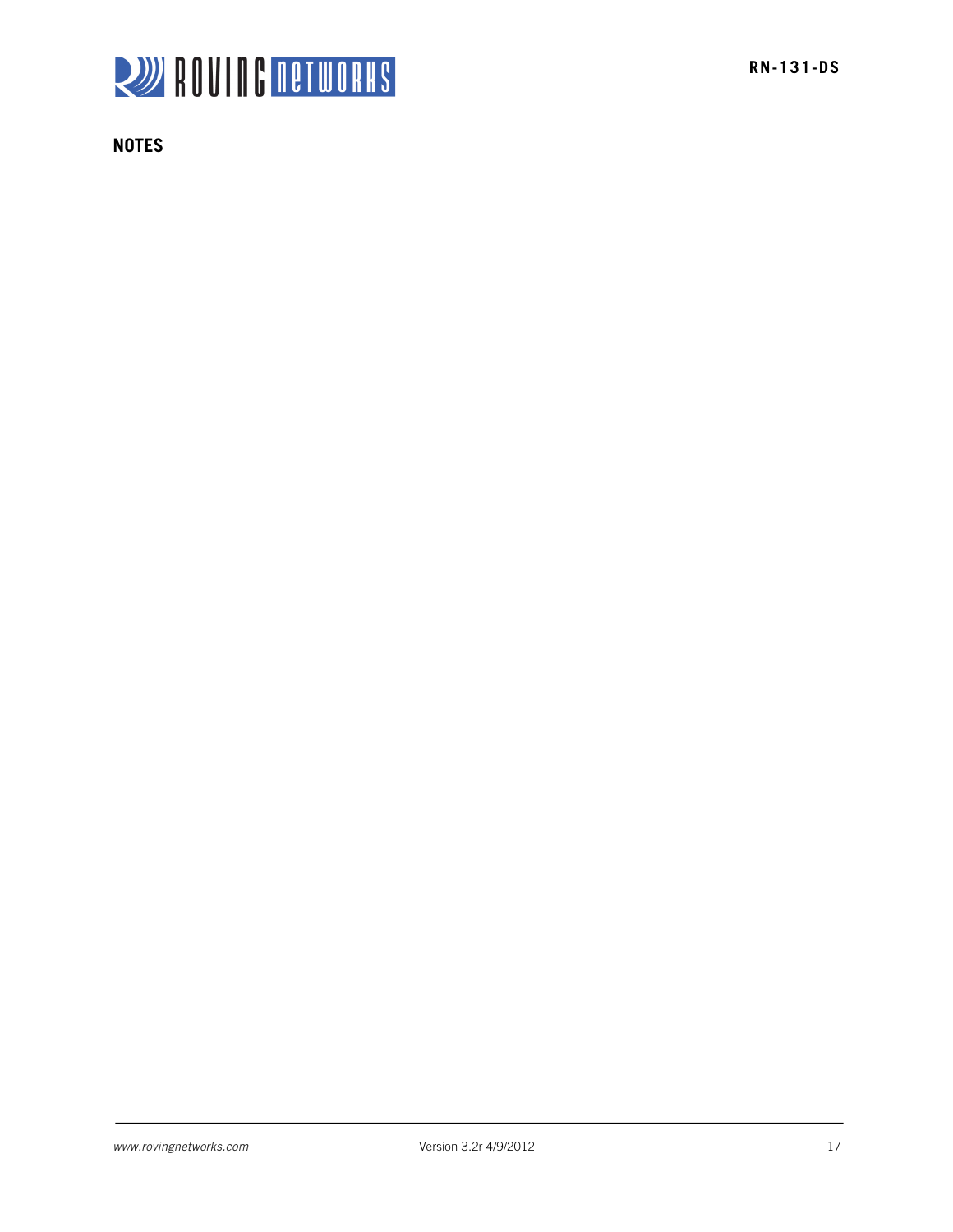

**NOTES**